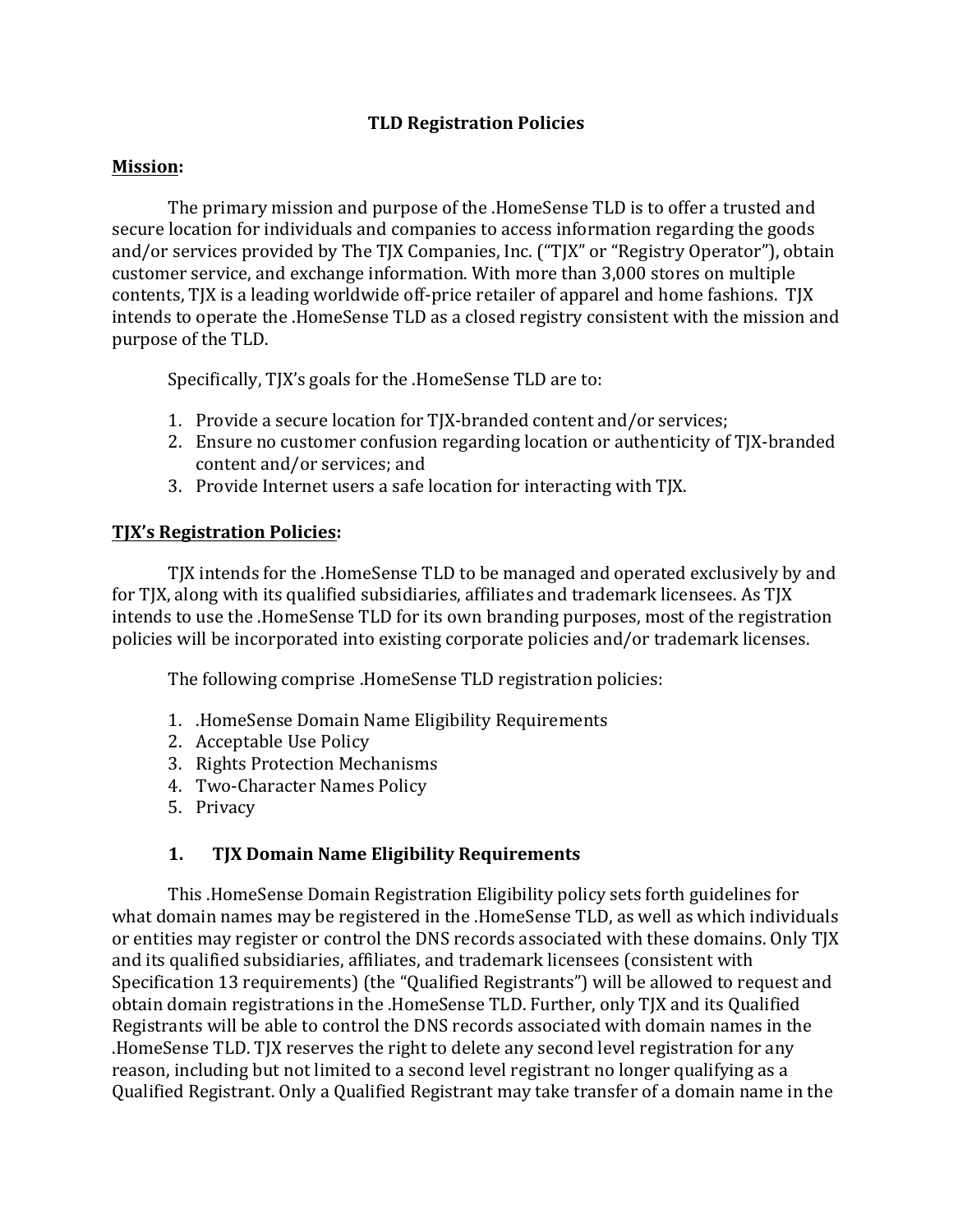### **TLD Registration Policies**

#### **Mission:**

The primary mission and purpose of the .HomeSense TLD is to offer a trusted and secure location for individuals and companies to access information regarding the goods and/or services provided by The TJX Companies, Inc. ("TJX" or "Registry Operator"), obtain customer service, and exchange information. With more than 3,000 stores on multiple contents, TJX is a leading worldwide off-price retailer of apparel and home fashions. TJX intends to operate the .HomeSense TLD as a closed registry consistent with the mission and purpose of the TLD.

Specifically, TJX's goals for the .HomeSense TLD are to:

- 1. Provide a secure location for TJX-branded content and/or services;
- 2. Ensure no customer confusion regarding location or authenticity of TJX-branded content and/or services; and
- 3. Provide Internet users a safe location for interacting with TJX.

#### **TJX's Registration Policies:**

TJX intends for the .HomeSense TLD to be managed and operated exclusively by and for TJX, along with its qualified subsidiaries, affiliates and trademark licensees. As TJX intends to use the .HomeSense TLD for its own branding purposes, most of the registration policies will be incorporated into existing corporate policies and/or trademark licenses.

The following comprise .HomeSense TLD registration policies:

- 1. HomeSense Domain Name Eligibility Requirements
- 2. Acceptable Use Policy
- 3. Rights Protection Mechanisms
- 4. Two-Character Names Policy
- 5. Privacy

### 1. TJX Domain Name Eligibility Requirements

This .HomeSense Domain Registration Eligibility policy sets forth guidelines for what domain names may be registered in the .HomeSense TLD, as well as which individuals or entities may register or control the DNS records associated with these domains. Only TJX and its qualified subsidiaries, affiliates, and trademark licensees (consistent with Specification 13 requirements) (the "Qualified Registrants") will be allowed to request and obtain domain registrations in the .HomeSense TLD. Further, only TJX and its Qualified Registrants will be able to control the DNS records associated with domain names in the .HomeSense TLD. TJX reserves the right to delete any second level registration for any reason, including but not limited to a second level registrant no longer qualifying as a Qualified Registrant. Only a Qualified Registrant may take transfer of a domain name in the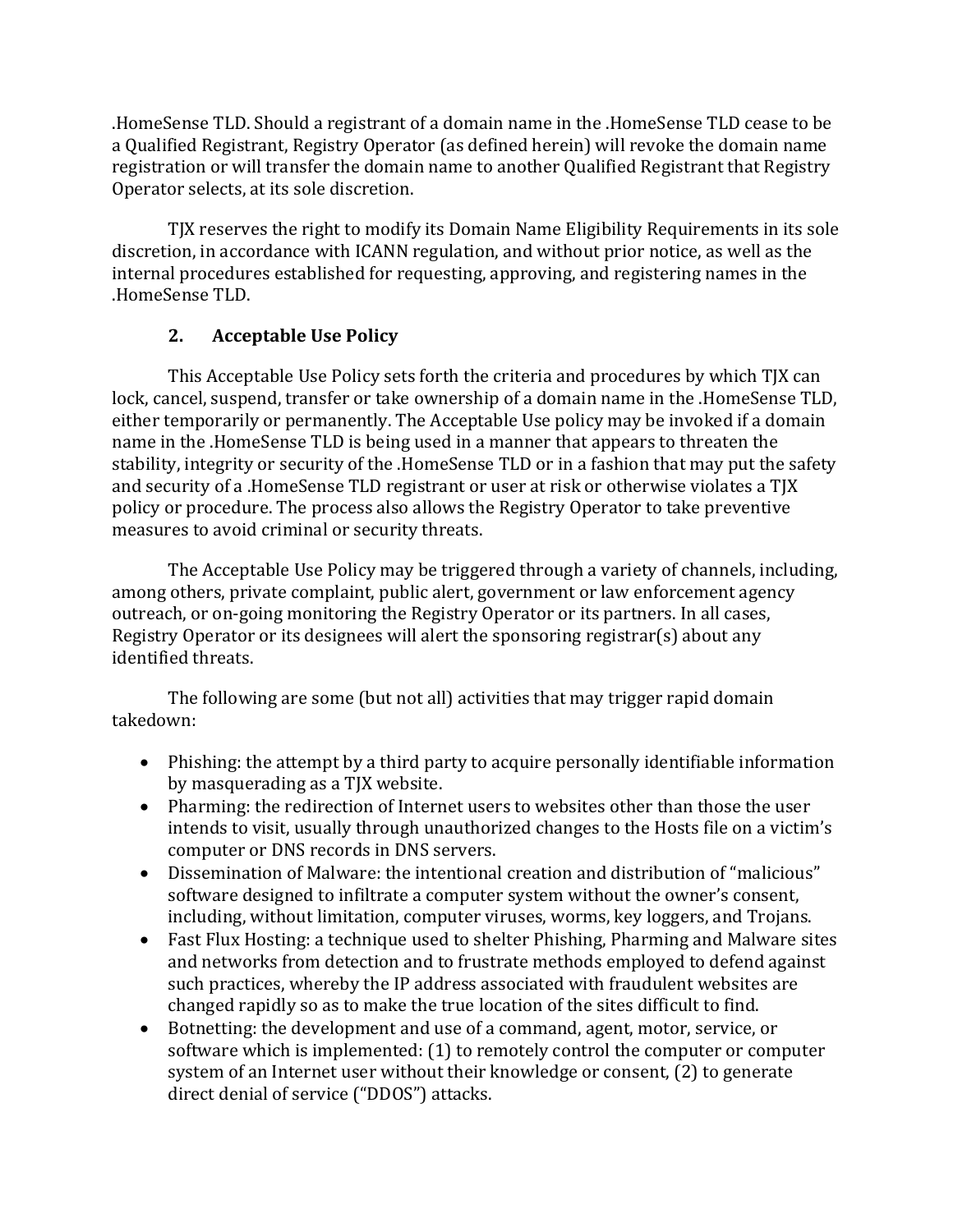.HomeSense TLD. Should a registrant of a domain name in the .HomeSense TLD cease to be a Qualified Registrant, Registry Operator (as defined herein) will revoke the domain name registration or will transfer the domain name to another Qualified Registrant that Registry Operator selects, at its sole discretion.

TJX reserves the right to modify its Domain Name Eligibility Requirements in its sole discretion, in accordance with ICANN regulation, and without prior notice, as well as the internal procedures established for requesting, approving, and registering names in the .HomeSense TLD. 

# **2.** Acceptable Use Policy

This Acceptable Use Policy sets forth the criteria and procedures by which TJX can lock, cancel, suspend, transfer or take ownership of a domain name in the .HomeSense TLD, either temporarily or permanently. The Acceptable Use policy may be invoked if a domain name in the .HomeSense TLD is being used in a manner that appears to threaten the stability, integrity or security of the .HomeSense TLD or in a fashion that may put the safety and security of a .HomeSense TLD registrant or user at risk or otherwise violates a TJX policy or procedure. The process also allows the Registry Operator to take preventive measures to avoid criminal or security threats.

The Acceptable Use Policy may be triggered through a variety of channels, including, among others, private complaint, public alert, government or law enforcement agency outreach, or on-going monitoring the Registry Operator or its partners. In all cases, Registry Operator or its designees will alert the sponsoring registrar(s) about any identified threats.

The following are some (but not all) activities that may trigger rapid domain takedown: 

- Phishing: the attempt by a third party to acquire personally identifiable information by masquerading as a TJX website.
- Pharming: the redirection of Internet users to websites other than those the user intends to visit, usually through unauthorized changes to the Hosts file on a victim's computer or DNS records in DNS servers.
- Dissemination of Malware: the intentional creation and distribution of "malicious" software designed to infiltrate a computer system without the owner's consent, including, without limitation, computer viruses, worms, key loggers, and Trojans.
- Fast Flux Hosting: a technique used to shelter Phishing, Pharming and Malware sites and networks from detection and to frustrate methods employed to defend against such practices, whereby the IP address associated with fraudulent websites are changed rapidly so as to make the true location of the sites difficult to find.
- Botnetting: the development and use of a command, agent, motor, service, or software which is implemented:  $(1)$  to remotely control the computer or computer system of an Internet user without their knowledge or consent, (2) to generate direct denial of service ("DDOS") attacks.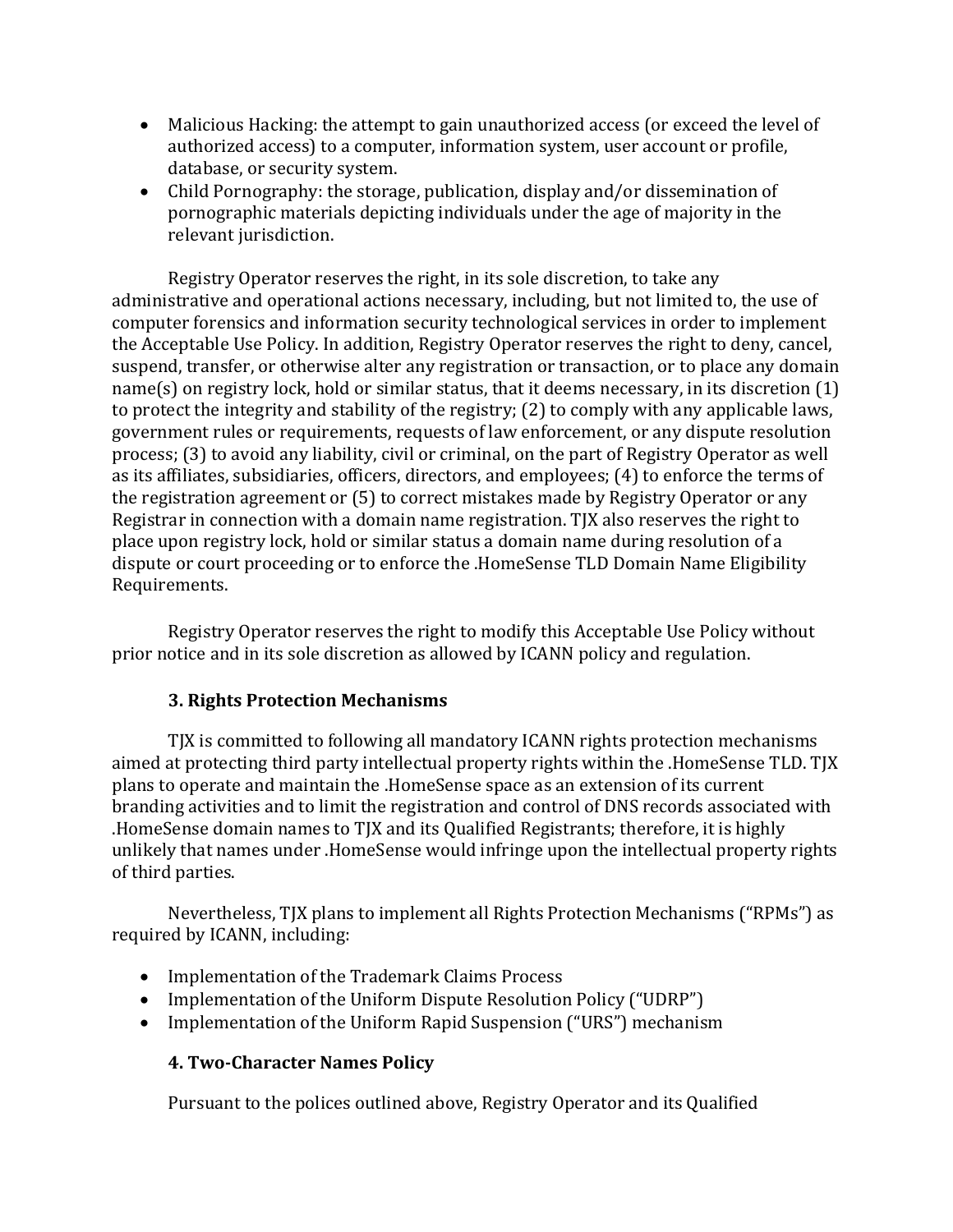- Malicious Hacking: the attempt to gain unauthorized access (or exceed the level of authorized access) to a computer, information system, user account or profile, database, or security system.
- Child Pornography: the storage, publication, display and/or dissemination of pornographic materials depicting individuals under the age of majority in the relevant jurisdiction.

Registry Operator reserves the right, in its sole discretion, to take any administrative and operational actions necessary, including, but not limited to, the use of computer forensics and information security technological services in order to implement the Acceptable Use Policy. In addition, Registry Operator reserves the right to deny, cancel, suspend, transfer, or otherwise alter any registration or transaction, or to place any domain  $name(s)$  on registry lock, hold or similar status, that it deems necessary, in its discretion  $(1)$ to protect the integrity and stability of the registry;  $(2)$  to comply with any applicable laws, government rules or requirements, requests of law enforcement, or any dispute resolution process; (3) to avoid any liability, civil or criminal, on the part of Registry Operator as well as its affiliates, subsidiaries, officers, directors, and employees; (4) to enforce the terms of the registration agreement or  $(5)$  to correct mistakes made by Registry Operator or any Registrar in connection with a domain name registration. TJX also reserves the right to place upon registry lock, hold or similar status a domain name during resolution of a dispute or court proceeding or to enforce the .HomeSense TLD Domain Name Eligibility Requirements.

Registry Operator reserves the right to modify this Acceptable Use Policy without prior notice and in its sole discretion as allowed by ICANN policy and regulation.

### **3. Rights Protection Mechanisms**

TJX is committed to following all mandatory ICANN rights protection mechanisms aimed at protecting third party intellectual property rights within the .HomeSense TLD. TJX plans to operate and maintain the .HomeSense space as an extension of its current branding activities and to limit the registration and control of DNS records associated with .HomeSense domain names to TJX and its Qualified Registrants; therefore, it is highly unlikely that names under .HomeSense would infringe upon the intellectual property rights of third parties.

Nevertheless, TJX plans to implement all Rights Protection Mechanisms ("RPMs") as required by ICANN, including:

- Implementation of the Trademark Claims Process
- Implementation of the Uniform Dispute Resolution Policy ("UDRP")
- Implementation of the Uniform Rapid Suspension ("URS") mechanism

### **4. Two-Character Names Policy**

Pursuant to the polices outlined above, Registry Operator and its Qualified